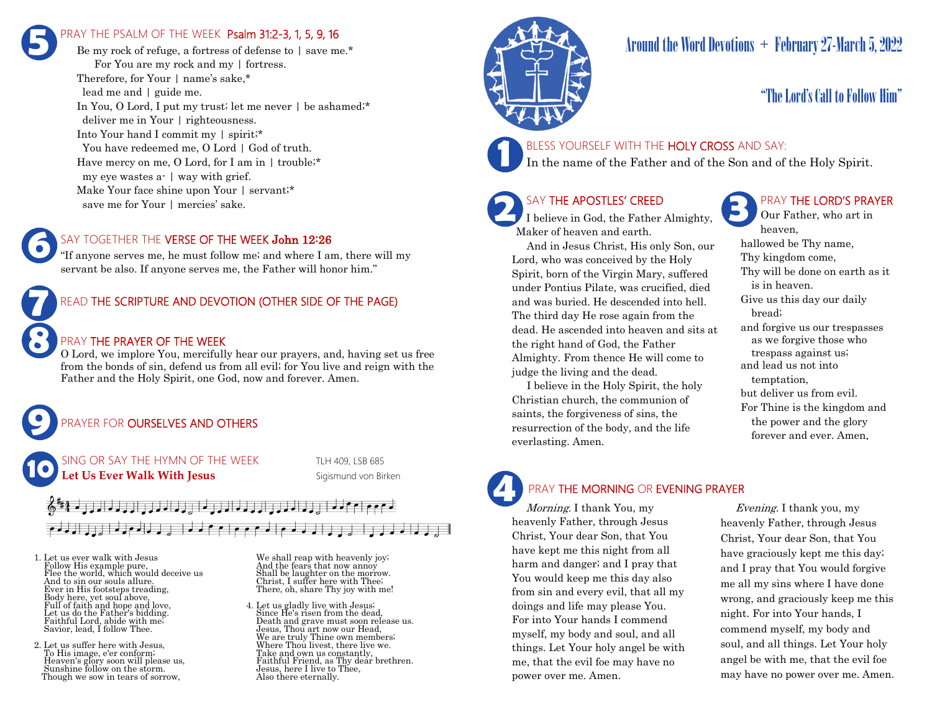# PRAY THE PSALM OF THE WEEK Psalm 31:2-3, 1, 5, 9, 16 **5**

Be my rock of refuge, a fortress of defense to  $\frac{1}{2}$  save me.\* For You are my rock and my | fortress. Therefore, for Your | name's sake,\* lead me and | guide me. In You, O Lord, I put my trust; let me never | be ashamed;\* deliver me in Your | righteousness. Into Your hand I commit my | spirit;\* You have redeemed me, O Lord | God of truth. Have mercy on me, O Lord, for I am in | trouble;\* my eye wastes a- | way with grief. Make Your face shine upon Your | servant;\* save me for Your | mercies' sake.

### SAY TOGETHER THE VERSE OF THE WEEK John 12:26

"If anyone serves me, he must follow me; and where I am, there will my servant be also. If anyone serves me, the Father will honor him."



### PRAY THE PRAYER OF THE WEEK

O Lord, we implore You, mercifully hear our prayers, and, having set us free from the bonds of sin, defend us from all evil; for You live and reign with the Father and the Holy Spirit, one God, now and forever. Amen.

### PRAYER FOR **OURSELVES AND OTHERS**

NG OR SAY THE HYMN OF THE WEEK TLH 409, LSB 685 **Let Us Ever Walk With Jesus** Sigismund von Birken

# الحامل المامان والحارا والمامان والمامان والمار

1. Let us ever walk with Jesus Follow His example pure, Flee the world, which would deceive us And to sin our souls allure. Ever in His footsteps treading, Body here, yet soul above, Full of faith and hope and love, Let us do the Father's bidding. Faithful Lord, abide with me; Savior, lead, I follow Thee.

**9**

**10**

**8**

**6**

2. Let us suffer here with Jesus, To His image, e'er conform; Heaven's glory soon will please us, Sunshine follow on the storm. Though we sow in tears of sorrow,

We shall reap with heavenly joy; And the fears that now annoy Shall be laughter on the morrow. Christ, I suffer here with Thee; There, oh, share Thy joy with me!

4. Let us gladly live with Jesus; Since He's risen from the dead, Death and grave must soon release us. Jesus, Thou art now our Head, We are truly Thine own members; Where Thou livest, there live we. Take and own us constantly, Faithful Friend, as Thy dear brethren. Jesus, here I live to Thee, Also there eternally.



# Around the Word Devotions  $+$  February 27-March 5, 2022

# "The Lord's Call to Follow Him"

# **1**

BLESS YOURSELF WITH THE HOLY CROSS AND SAY:

In the name of the Father and of the Son and of the Holy Spirit.

## SAY THE APOSTLES' CREED

**2 SAY THE APOSTLES' CREED I** believe in God, the Father Almighty, Maker of heaven and earth.

 And in Jesus Christ, His only Son, our Lord, who was conceived by the Holy Spirit, born of the Virgin Mary, suffered under Pontius Pilate, was crucified, died and was buried. He descended into hell. The third day He rose again from the dead. He ascended into heaven and sits at the right hand of God, the Father Almighty. From thence He will come to judge the living and the dead.

 I believe in the Holy Spirit, the holy Christian church, the communion of saints, the forgiveness of sins, the resurrection of the body, and the life everlasting. Amen.

### PRAY THE LORD'S PRAYER

Our Father, who art in heaven, hallowed be Thy name, Thy kingdom come, Thy will be done on earth as it is in heaven. Give us this day our daily bread; and forgive us our trespasses as we forgive those who trespass against us; and lead us not into temptation, but deliver us from evil. For Thine is the kingdom and the power and the glory forever and ever. Amen.

# **4**

### PRAY THE MORNING OR EVENING PRAYER

Morning. I thank You, my heavenly Father, through Jesus Christ, Your dear Son, that You have kept me this night from all harm and danger; and I pray that You would keep me this day also from sin and every evil, that all my doings and life may please You. For into Your hands I commend myself, my body and soul, and all things. Let Your holy angel be with me, that the evil foe may have no power over me. Amen.

 Evening. I thank you, my heavenly Father, through Jesus Christ, Your dear Son, that You have graciously kept me this day; and I pray that You would forgive me all my sins where I have done wrong, and graciously keep me this night. For into Your hands, I commend myself, my body and soul, and all things. Let Your holy angel be with me, that the evil foe may have no power over me. Amen.